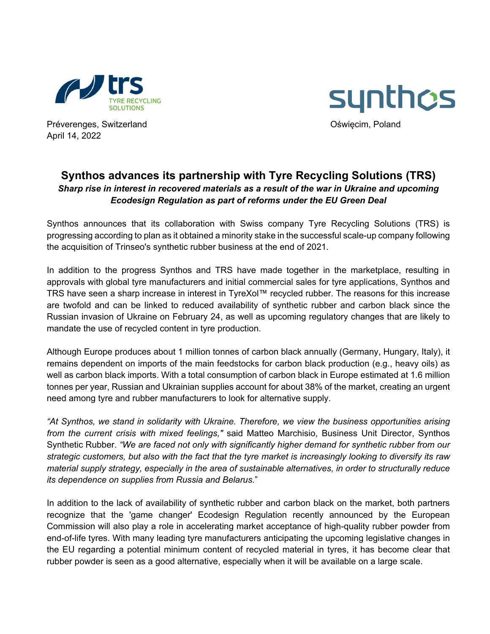



Préverenges, Switzerland **Channel Channel Communister Channel Communister Communister Communister Communister Communister Communister Communister Communister Communister Communister Communister Communister Communister Comm** April 14, 2022

## **Synthos advances its partnership with Tyre Recycling Solutions (TRS)** *Sharp rise in interest in recovered materials as a result of the war in Ukraine and upcoming Ecodesign Regulation as part of reforms under the EU Green Deal*

Synthos announces that its collaboration with Swiss company Tyre Recycling Solutions (TRS) is progressing according to plan as it obtained a minority stake in the successful scale-up company following the acquisition of Trinseo's synthetic rubber business at the end of 2021.

In addition to the progress Synthos and TRS have made together in the marketplace, resulting in approvals with global tyre manufacturers and initial commercial sales for tyre applications, Synthos and TRS have seen a sharp increase in interest in TyreXol™ recycled rubber. The reasons for this increase are twofold and can be linked to reduced availability of synthetic rubber and carbon black since the Russian invasion of Ukraine on February 24, as well as upcoming regulatory changes that are likely to mandate the use of recycled content in tyre production.

Although Europe produces about 1 million tonnes of carbon black annually (Germany, Hungary, Italy), it remains dependent on imports of the main feedstocks for carbon black production (e.g., heavy oils) as well as carbon black imports. With a total consumption of carbon black in Europe estimated at 1.6 million tonnes per year, Russian and Ukrainian supplies account for about 38% of the market, creating an urgent need among tyre and rubber manufacturers to look for alternative supply.

*"At Synthos, we stand in solidarity with Ukraine. Therefore, we view the business opportunities arising from the current crisis with mixed feelings,"* said Matteo Marchisio, Business Unit Director, Synthos Synthetic Rubber. *"We are faced not only with significantly higher demand for synthetic rubber from our strategic customers, but also with the fact that the tyre market is increasingly looking to diversify its raw material supply strategy, especially in the area of sustainable alternatives, in order to structurally reduce its dependence on supplies from Russia and Belarus*."

In addition to the lack of availability of synthetic rubber and carbon black on the market, both partners recognize that the 'game changer' Ecodesign Regulation recently announced by the European Commission will also play a role in accelerating market acceptance of high-quality rubber powder from end-of-life tyres. With many leading tyre manufacturers anticipating the upcoming legislative changes in the EU regarding a potential minimum content of recycled material in tyres, it has become clear that rubber powder is seen as a good alternative, especially when it will be available on a large scale.